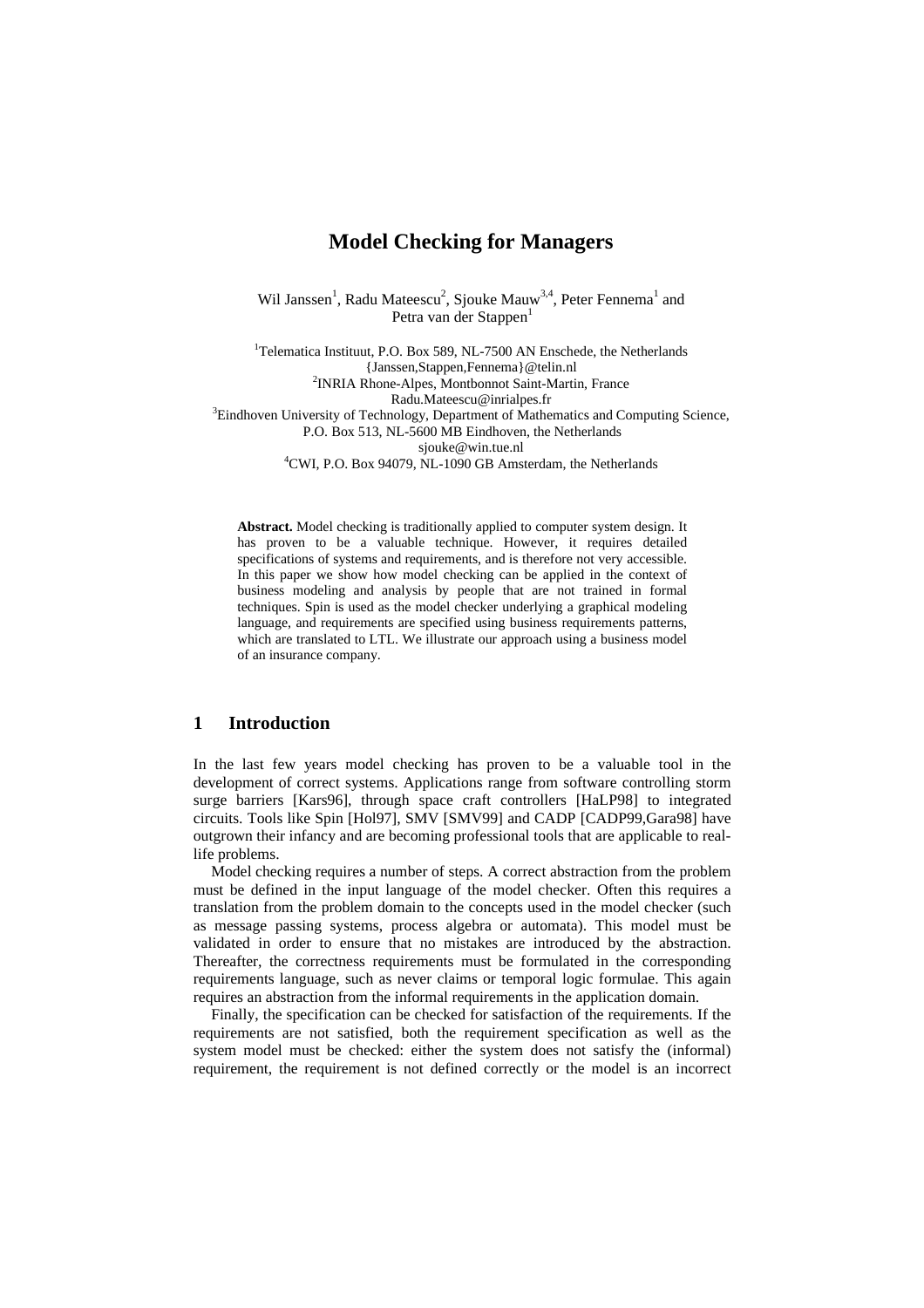# **Model Checking for Managers**

Wil Janssen<sup>1</sup>, Radu Mateescu<sup>2</sup>, Sjouke Mauw<sup>3,4</sup>, Peter Fennema<sup>1</sup> and Petra van der Stappen<sup>1</sup>

<sup>1</sup>Telematica Instituut, P.O. Box 589, NL-7500 AN Enschede, the Netherlands {Janssen,Stappen,Fennema}@telin.nl <sup>2</sup> INRIA Rhone-Alpes, Montbonnot Saint-Martin, France Radu.Mateescu@inrialpes.fr<br>
<sup>3</sup>Eindhoven University of Technology, Department of Mathematics and Computing Science, P.O. Box 513, NL-5600 MB Eindhoven, the Netherlands

sjouke@win.tue.nl <sup>4</sup> CWI, P.O. Box 94079, NL-1090 GB Amsterdam, the Netherlands

**Abstract.** Model checking is traditionally applied to computer system design. It has proven to be a valuable technique. However, it requires detailed specifications of systems and requirements, and is therefore not very accessible. In this paper we show how model checking can be applied in the context of business modeling and analysis by people that are not trained in formal techniques. Spin is used as the model checker underlying a graphical modeling language, and requirements are specified using business requirements patterns, which are translated to LTL. We illustrate our approach using a business model of an insurance company.

# **1 Introduction**

In the last few years model checking has proven to be a valuable tool in the development of correct systems. Applications range from software controlling storm surge barriers [Kars96], through space craft controllers [HaLP98] to integrated circuits. Tools like Spin [Hol97], SMV [SMV99] and CADP [CADP99,Gara98] have outgrown their infancy and are becoming professional tools that are applicable to reallife problems.

Model checking requires a number of steps. A correct abstraction from the problem must be defined in the input language of the model checker. Often this requires a translation from the problem domain to the concepts used in the model checker (such as message passing systems, process algebra or automata). This model must be validated in order to ensure that no mistakes are introduced by the abstraction. Thereafter, the correctness requirements must be formulated in the corresponding requirements language, such as never claims or temporal logic formulae. This again requires an abstraction from the informal requirements in the application domain.

Finally, the specification can be checked for satisfaction of the requirements. If the requirements are not satisfied, both the requirement specification as well as the system model must be checked: either the system does not satisfy the (informal) requirement, the requirement is not defined correctly or the model is an incorrect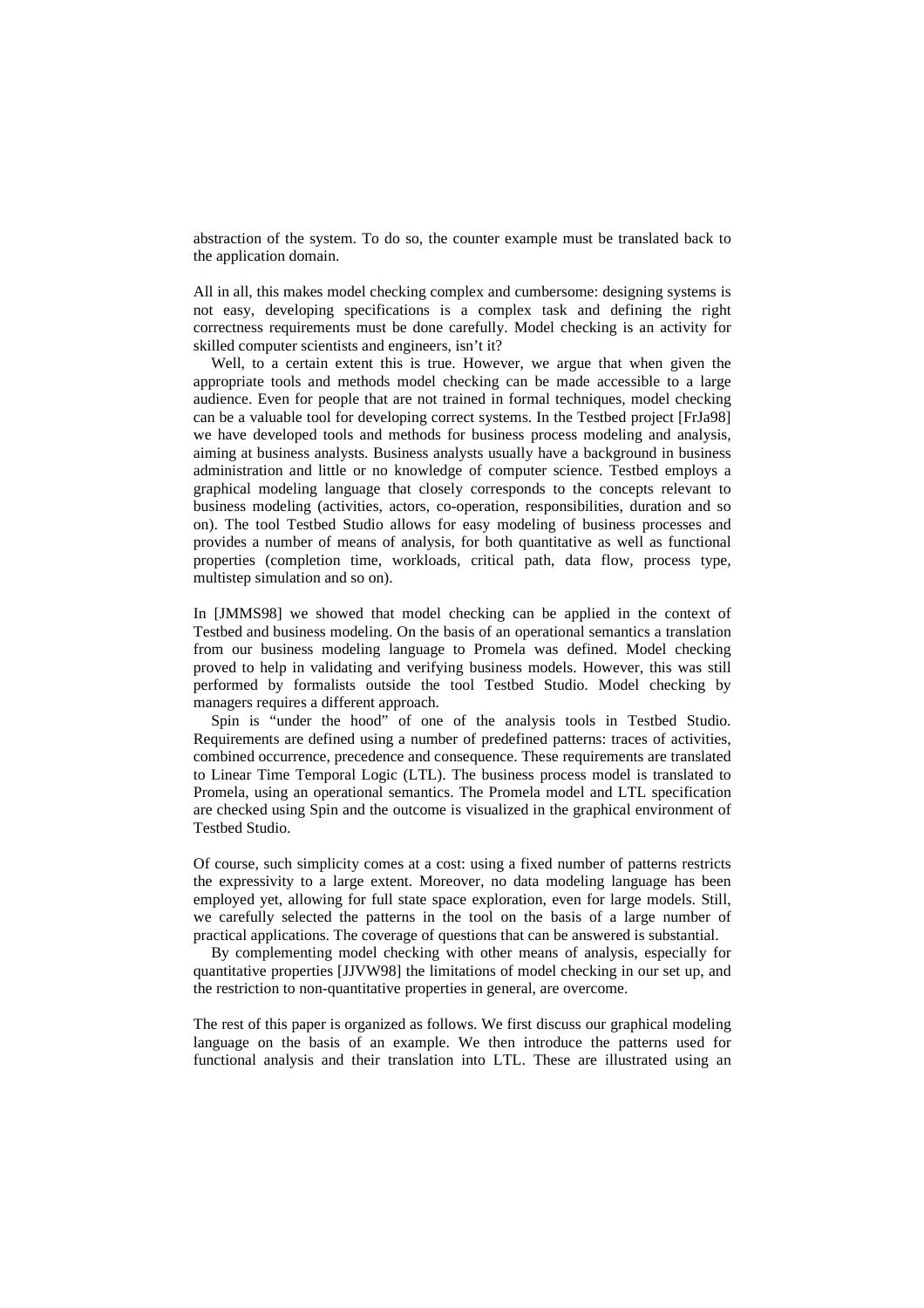abstraction of the system. To do so, the counter example must be translated back to the application domain.

All in all, this makes model checking complex and cumbersome: designing systems is not easy, developing specifications is a complex task and defining the right correctness requirements must be done carefully. Model checking is an activity for skilled computer scientists and engineers, isn't it?

Well, to a certain extent this is true. However, we argue that when given the appropriate tools and methods model checking can be made accessible to a large audience. Even for people that are not trained in formal techniques, model checking can be a valuable tool for developing correct systems. In the Testbed project [FrJa98] we have developed tools and methods for business process modeling and analysis, aiming at business analysts. Business analysts usually have a background in business administration and little or no knowledge of computer science. Testbed employs a graphical modeling language that closely corresponds to the concepts relevant to business modeling (activities, actors, co-operation, responsibilities, duration and so on). The tool Testbed Studio allows for easy modeling of business processes and provides a number of means of analysis, for both quantitative as well as functional properties (completion time, workloads, critical path, data flow, process type, multistep simulation and so on).

In [JMMS98] we showed that model checking can be applied in the context of Testbed and business modeling. On the basis of an operational semantics a translation from our business modeling language to Promela was defined. Model checking proved to help in validating and verifying business models. However, this was still performed by formalists outside the tool Testbed Studio. Model checking by managers requires a different approach.

Spin is "under the hood" of one of the analysis tools in Testbed Studio. Requirements are defined using a number of predefined patterns: traces of activities, combined occurrence, precedence and consequence. These requirements are translated to Linear Time Temporal Logic (LTL). The business process model is translated to Promela, using an operational semantics. The Promela model and LTL specification are checked using Spin and the outcome is visualized in the graphical environment of Testbed Studio.

Of course, such simplicity comes at a cost: using a fixed number of patterns restricts the expressivity to a large extent. Moreover, no data modeling language has been employed yet, allowing for full state space exploration, even for large models. Still, we carefully selected the patterns in the tool on the basis of a large number of practical applications. The coverage of questions that can be answered is substantial.

By complementing model checking with other means of analysis, especially for quantitative properties [JJVW98] the limitations of model checking in our set up, and the restriction to non-quantitative properties in general, are overcome.

The rest of this paper is organized as follows. We first discuss our graphical modeling language on the basis of an example. We then introduce the patterns used for functional analysis and their translation into LTL. These are illustrated using an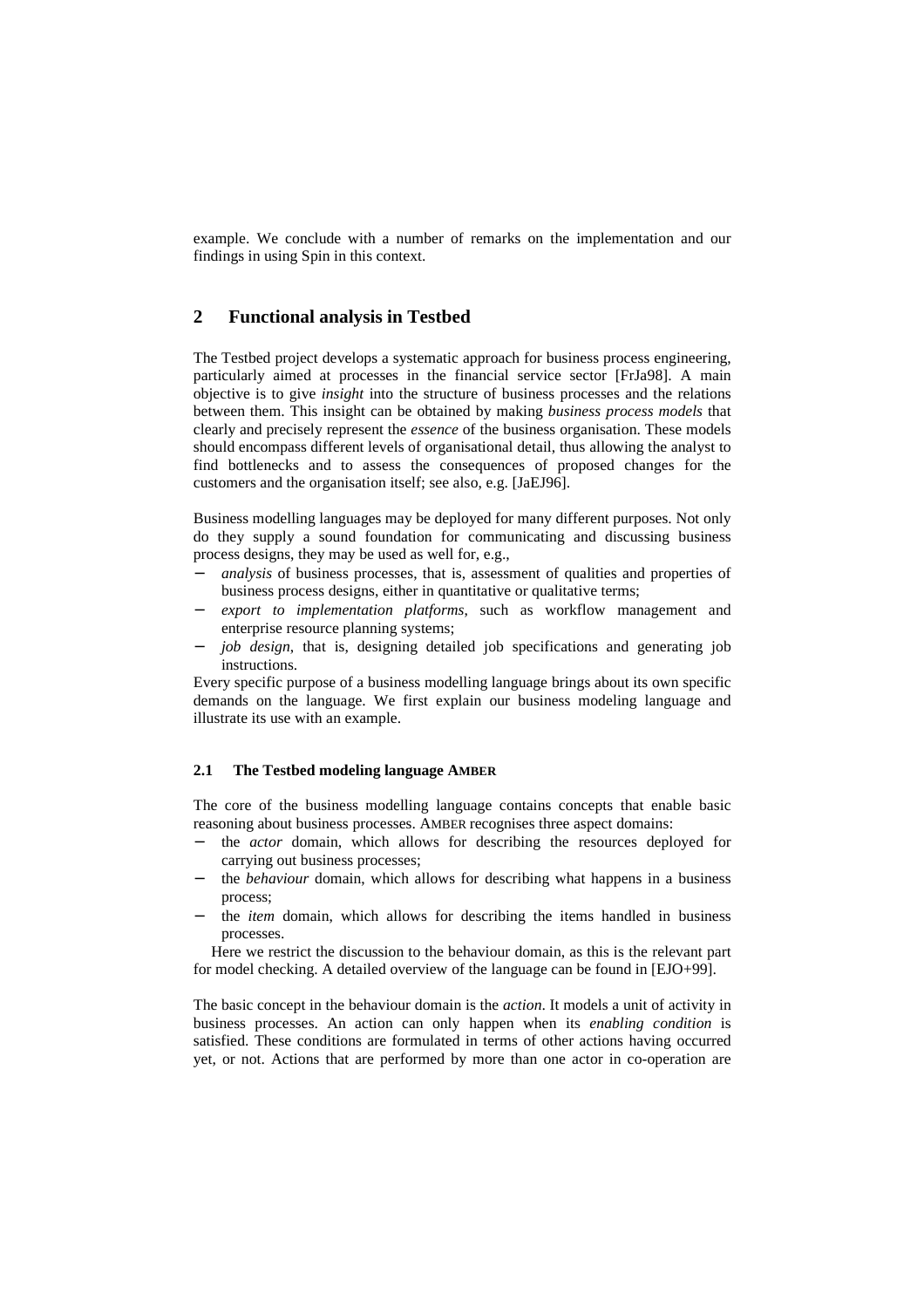example. We conclude with a number of remarks on the implementation and our findings in using Spin in this context.

# **2 Functional analysis in Testbed**

The Testbed project develops a systematic approach for business process engineering, particularly aimed at processes in the financial service sector [FrJa98]. A main objective is to give *insight* into the structure of business processes and the relations between them. This insight can be obtained by making *business process models* that clearly and precisely represent the *essence* of the business organisation. These models should encompass different levels of organisational detail, thus allowing the analyst to find bottlenecks and to assess the consequences of proposed changes for the customers and the organisation itself; see also, e.g. [JaEJ96].

Business modelling languages may be deployed for many different purposes. Not only do they supply a sound foundation for communicating and discussing business process designs, they may be used as well for, e.g.,

- *analysis* of business processes, that is, assessment of qualities and properties of business process designs, either in quantitative or qualitative terms;
- − *export to implementation platforms*, such as workflow management and enterprise resource planning systems;
- *job design*, that is, designing detailed job specifications and generating job instructions.

Every specific purpose of a business modelling language brings about its own specific demands on the language. We first explain our business modeling language and illustrate its use with an example.

#### **2.1 The Testbed modeling language AMBER**

The core of the business modelling language contains concepts that enable basic reasoning about business processes. AMBER recognises three aspect domains:

- the *actor* domain, which allows for describing the resources deployed for carrying out business processes;
- the *behaviour* domain, which allows for describing what happens in a business process;
- the *item* domain, which allows for describing the items handled in business processes.

Here we restrict the discussion to the behaviour domain, as this is the relevant part for model checking. A detailed overview of the language can be found in [EJO+99].

The basic concept in the behaviour domain is the *action*. It models a unit of activity in business processes. An action can only happen when its *enabling condition* is satisfied. These conditions are formulated in terms of other actions having occurred yet, or not. Actions that are performed by more than one actor in co-operation are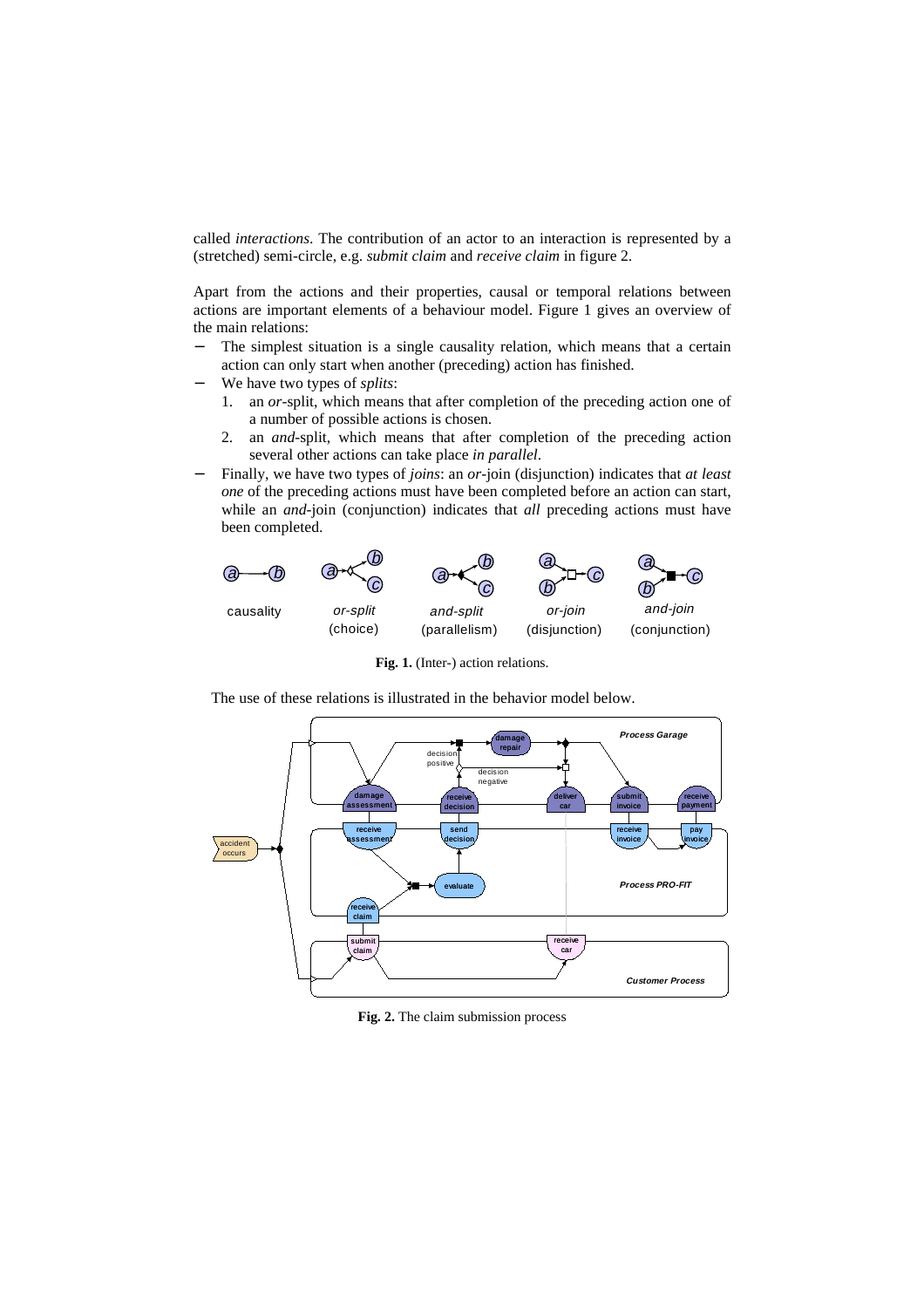called *interactions*. The contribution of an actor to an interaction is represented by a (stretched) semi-circle, e.g. *submit claim* and *receive claim* in figure 2.

Apart from the actions and their properties, causal or temporal relations between actions are important elements of a behaviour model. Figure 1 gives an overview of the main relations:

- The simplest situation is a single causality relation, which means that a certain action can only start when another (preceding) action has finished.
- − We have two types of *splits*:
	- 1. an *or*-split, which means that after completion of the preceding action one of a number of possible actions is chosen.
	- 2. an *and*-split, which means that after completion of the preceding action several other actions can take place *in parallel*.
- − Finally, we have two types of *joins*: an *or*-join (disjunction) indicates that *at least one* of the preceding actions must have been completed before an action can start, while an *and*-join (conjunction) indicates that *all* preceding actions must have been completed.



**Fig. 1.** (Inter-) action relations.

The use of these relations is illustrated in the behavior model below.



**Fig. 2.** The claim submission process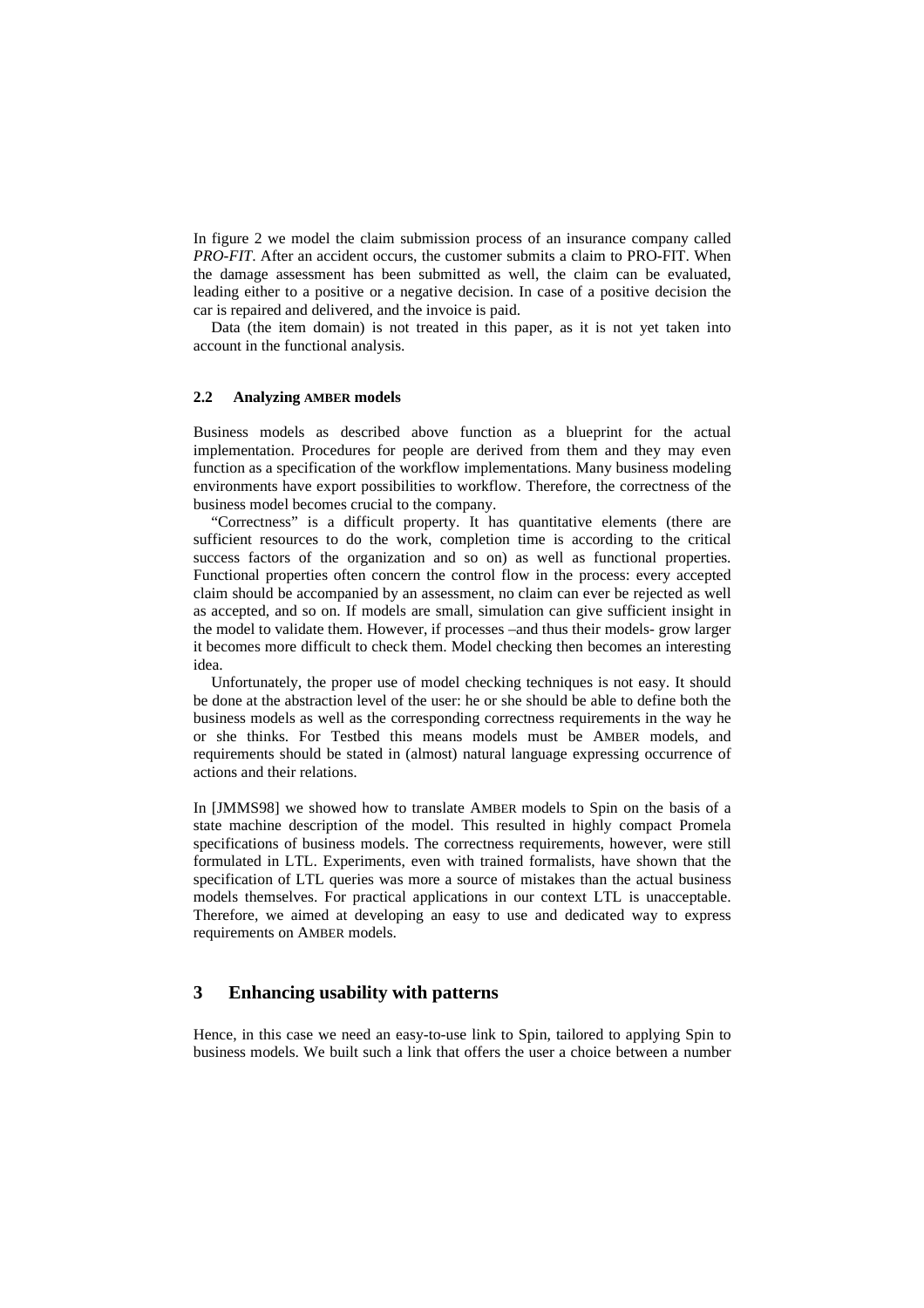In figure 2 we model the claim submission process of an insurance company called *PRO-FIT*. After an accident occurs, the customer submits a claim to PRO-FIT. When the damage assessment has been submitted as well, the claim can be evaluated, leading either to a positive or a negative decision. In case of a positive decision the car is repaired and delivered, and the invoice is paid.

Data (the item domain) is not treated in this paper, as it is not yet taken into account in the functional analysis.

## **2.2 Analyzing AMBER models**

Business models as described above function as a blueprint for the actual implementation. Procedures for people are derived from them and they may even function as a specification of the workflow implementations. Many business modeling environments have export possibilities to workflow. Therefore, the correctness of the business model becomes crucial to the company.

"Correctness" is a difficult property. It has quantitative elements (there are sufficient resources to do the work, completion time is according to the critical success factors of the organization and so on) as well as functional properties. Functional properties often concern the control flow in the process: every accepted claim should be accompanied by an assessment, no claim can ever be rejected as well as accepted, and so on. If models are small, simulation can give sufficient insight in the model to validate them. However, if processes –and thus their models- grow larger it becomes more difficult to check them. Model checking then becomes an interesting idea.

Unfortunately, the proper use of model checking techniques is not easy. It should be done at the abstraction level of the user: he or she should be able to define both the business models as well as the corresponding correctness requirements in the way he or she thinks. For Testbed this means models must be AMBER models, and requirements should be stated in (almost) natural language expressing occurrence of actions and their relations.

In [JMMS98] we showed how to translate AMBER models to Spin on the basis of a state machine description of the model. This resulted in highly compact Promela specifications of business models. The correctness requirements, however, were still formulated in LTL. Experiments, even with trained formalists, have shown that the specification of LTL queries was more a source of mistakes than the actual business models themselves. For practical applications in our context LTL is unacceptable. Therefore, we aimed at developing an easy to use and dedicated way to express requirements on AMBER models.

# **3 Enhancing usability with patterns**

Hence, in this case we need an easy-to-use link to Spin, tailored to applying Spin to business models. We built such a link that offers the user a choice between a number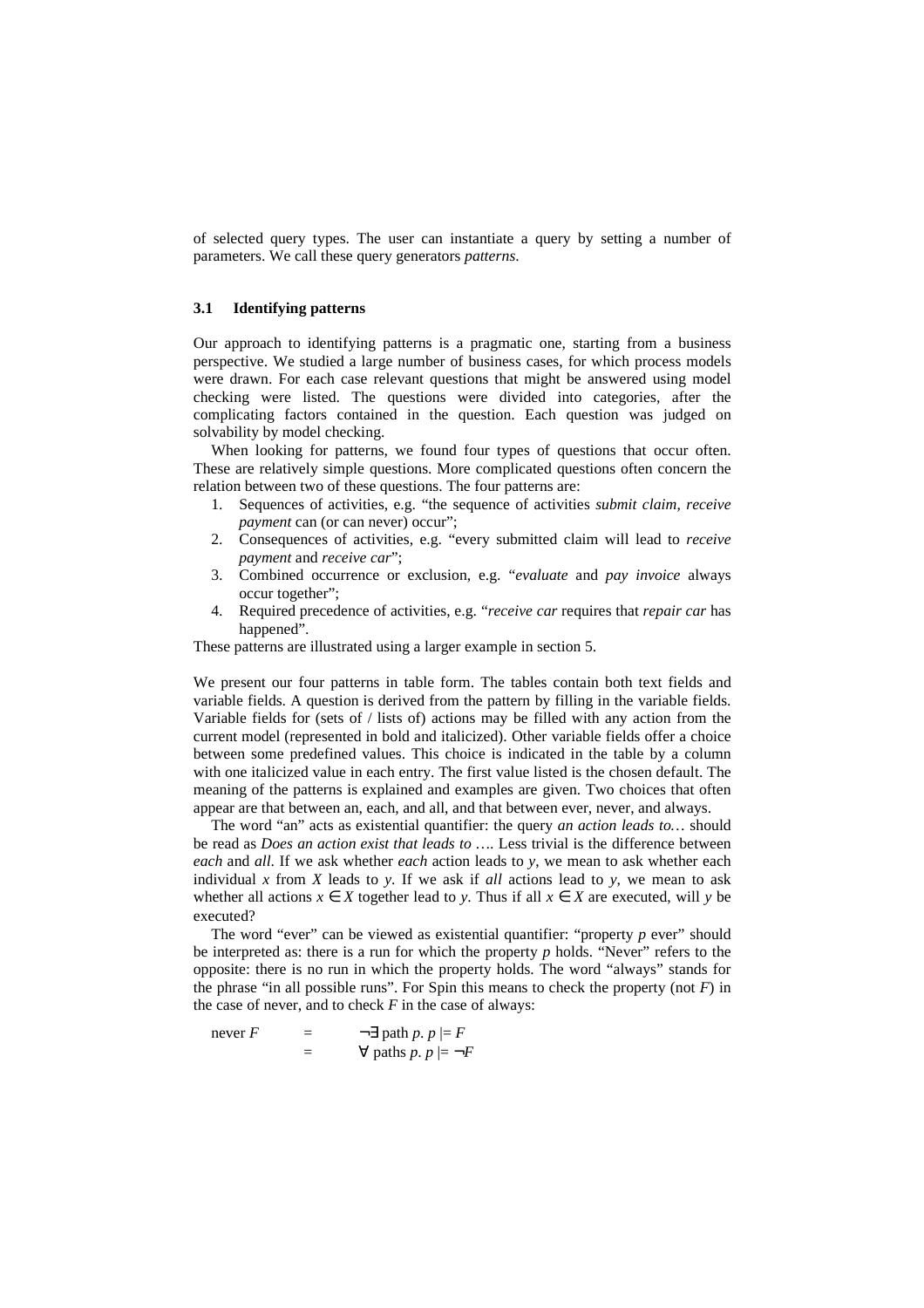of selected query types. The user can instantiate a query by setting a number of parameters. We call these query generators *patterns*.

#### **3.1 Identifying patterns**

Our approach to identifying patterns is a pragmatic one, starting from a business perspective. We studied a large number of business cases, for which process models were drawn. For each case relevant questions that might be answered using model checking were listed. The questions were divided into categories, after the complicating factors contained in the question. Each question was judged on solvability by model checking.

When looking for patterns, we found four types of questions that occur often. These are relatively simple questions. More complicated questions often concern the relation between two of these questions. The four patterns are:

- 1. Sequences of activities, e.g. "the sequence of activities *submit claim*, *receive payment* can (or can never) occur";
- 2. Consequences of activities, e.g. "every submitted claim will lead to *receive payment* and *receive car*";
- 3. Combined occurrence or exclusion, e.g. "*evaluate* and *pay invoice* always occur together";
- 4. Required precedence of activities, e.g. "*receive car* requires that *repair car* has happened".

These patterns are illustrated using a larger example in section 5.

We present our four patterns in table form. The tables contain both text fields and variable fields. A question is derived from the pattern by filling in the variable fields. Variable fields for (sets of / lists of) actions may be filled with any action from the current model (represented in bold and italicized). Other variable fields offer a choice between some predefined values. This choice is indicated in the table by a column with one italicized value in each entry. The first value listed is the chosen default. The meaning of the patterns is explained and examples are given. Two choices that often appear are that between an, each, and all, and that between ever, never, and always.

The word "an" acts as existential quantifier: the query *an action leads to…* should be read as *Does an action exist that leads to …*. Less trivial is the difference between *each* and *all*. If we ask whether *each* action leads to *y*, we mean to ask whether each individual  $x$  from  $X$  leads to  $y$ . If we ask if *all* actions lead to  $y$ , we mean to ask whether all actions  $x \in X$  together lead to *y*. Thus if all  $x \in X$  are executed, will *y* be executed?

The word "ever" can be viewed as existential quantifier: "property *p* ever" should be interpreted as: there is a run for which the property *p* holds. "Never" refers to the opposite: there is no run in which the property holds. The word "always" stands for the phrase "in all possible runs". For Spin this means to check the property (not *F*) in the case of never, and to check *F* in the case of always:

 $\Box$  never *F* =  $\neg \exists$  path *p*.  $p \models F$  $=$   $\forall$  paths *p*. *p*  $= \neg F$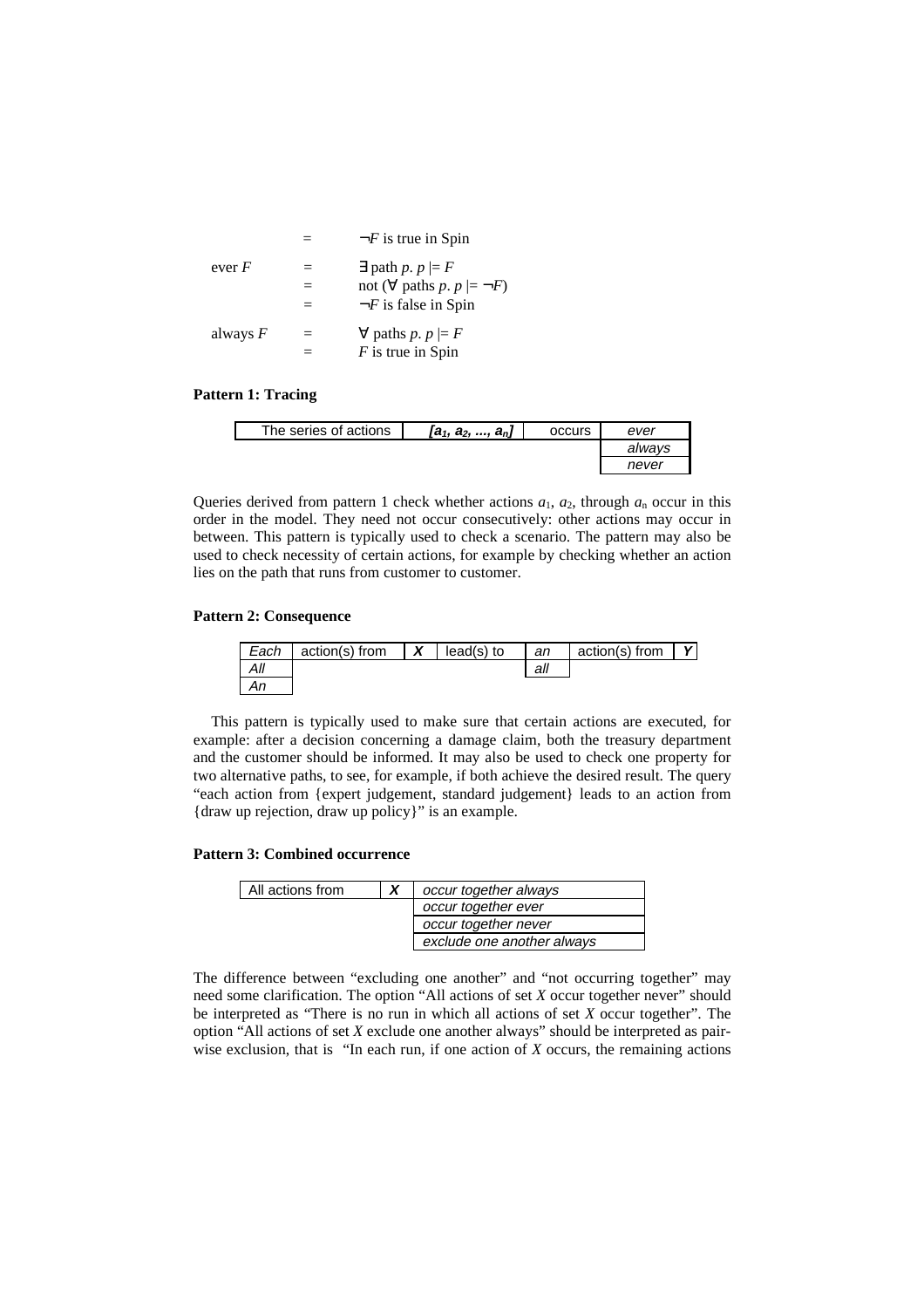|            |     | $\neg F$ is true in Spin                      |
|------------|-----|-----------------------------------------------|
| ever $F$   |     | $\exists$ path p. $p \models F$               |
|            |     | not ( $\forall$ paths p. p $\models \neg F$ ) |
|            |     | $\neg F$ is false in Spin                     |
| always $F$ | $=$ | $\forall$ paths p. $p \models F$              |
|            |     | $F$ is true in Spin                           |

#### **Pattern 1: Tracing**

| The series of actions | $[a_1, a_2, , a_n]$ | occurs | ever   |
|-----------------------|---------------------|--------|--------|
|                       |                     |        | alwavs |
|                       |                     |        | never  |

Queries derived from pattern 1 check whether actions  $a_1$ ,  $a_2$ , through  $a_n$  occur in this order in the model. They need not occur consecutively: other actions may occur in between. This pattern is typically used to check a scenario. The pattern may also be used to check necessity of certain actions, for example by checking whether an action lies on the path that runs from customer to customer.

#### **Pattern 2: Consequence**

|     | Each   action(s) from | $\mathbf{x}$ | lead(s) to | an  | $\arctan(s)$ from $\ln$ |  |
|-----|-----------------------|--------------|------------|-----|-------------------------|--|
| Alı |                       |              |            | all |                         |  |
|     |                       |              |            |     |                         |  |

This pattern is typically used to make sure that certain actions are executed, for example: after a decision concerning a damage claim, both the treasury department and the customer should be informed. It may also be used to check one property for two alternative paths, to see, for example, if both achieve the desired result. The query "each action from {expert judgement, standard judgement} leads to an action from {draw up rejection, draw up policy}" is an example.

#### **Pattern 3: Combined occurrence**

| All actions from | X | occur together always      |  |
|------------------|---|----------------------------|--|
|                  |   | occur together ever        |  |
|                  |   | occur together never       |  |
|                  |   | exclude one another always |  |

The difference between "excluding one another" and "not occurring together" may need some clarification. The option "All actions of set *X* occur together never" should be interpreted as "There is no run in which all actions of set *X* occur together". The option "All actions of set *X* exclude one another always" should be interpreted as pairwise exclusion, that is "In each run, if one action of *X* occurs, the remaining actions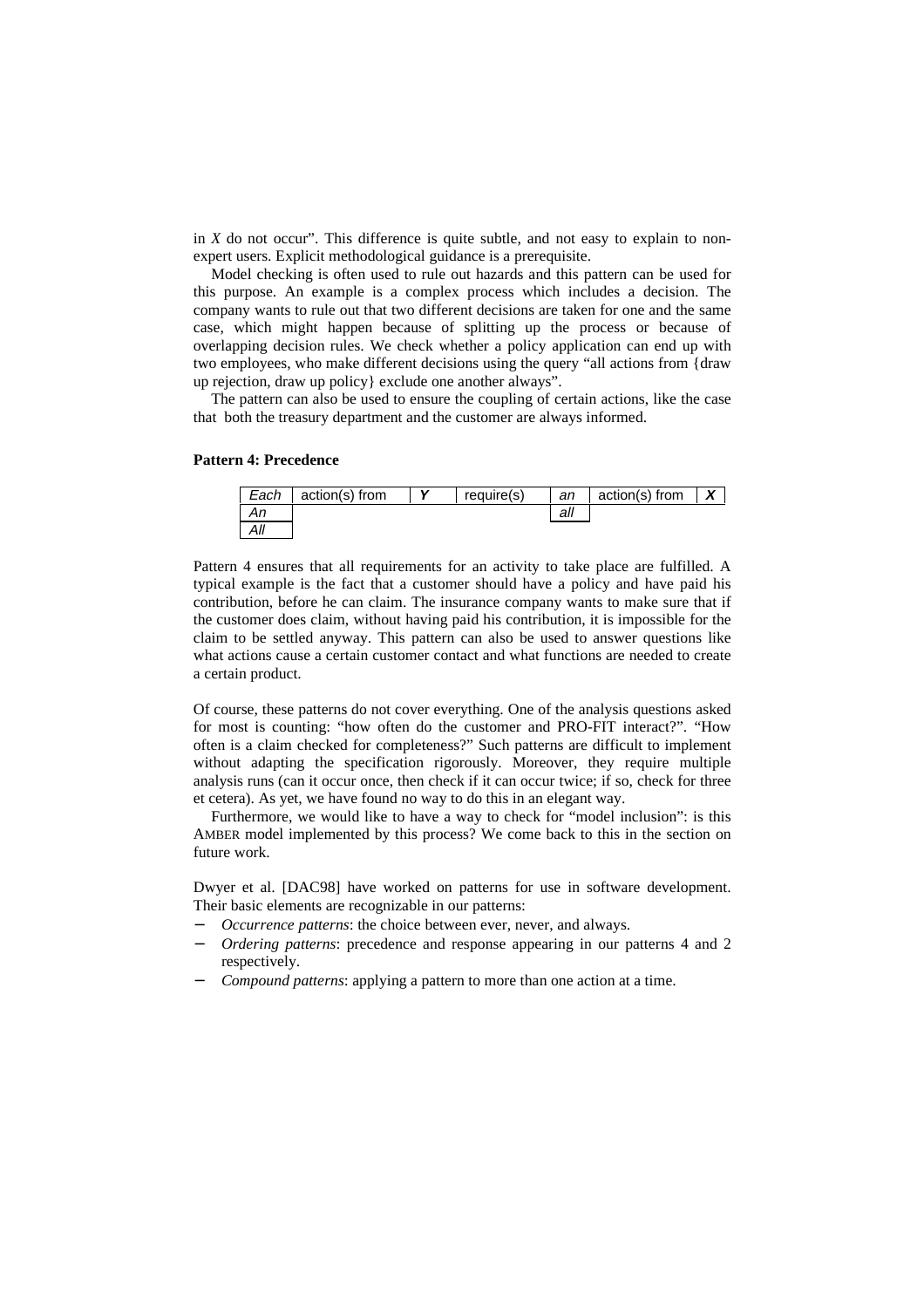in  $X$  do not occur". This difference is quite subtle, and not easy to explain to nonexpert users. Explicit methodological guidance is a prerequisite.

Model checking is often used to rule out hazards and this pattern can be used for this purpose. An example is a complex process which includes a decision. The company wants to rule out that two different decisions are taken for one and the same case, which might happen because of splitting up the process or because of overlapping decision rules. We check whether a policy application can end up with two employees, who make different decisions using the query "all actions from {draw up rejection, draw up policy} exclude one another always".

The pattern can also be used to ensure the coupling of certain actions, like the case that both the treasury department and the customer are always informed.

### **Pattern 4: Precedence**

| Each | action(s) from | $\blacksquare$ | require(s) | an  | action(s) from | X |
|------|----------------|----------------|------------|-----|----------------|---|
| Аn   |                |                |            | all |                |   |
| Αll  |                |                |            |     |                |   |

Pattern 4 ensures that all requirements for an activity to take place are fulfilled. A typical example is the fact that a customer should have a policy and have paid his contribution, before he can claim. The insurance company wants to make sure that if the customer does claim, without having paid his contribution, it is impossible for the claim to be settled anyway. This pattern can also be used to answer questions like what actions cause a certain customer contact and what functions are needed to create a certain product.

Of course, these patterns do not cover everything. One of the analysis questions asked for most is counting: "how often do the customer and PRO-FIT interact?". "How often is a claim checked for completeness?" Such patterns are difficult to implement without adapting the specification rigorously. Moreover, they require multiple analysis runs (can it occur once, then check if it can occur twice; if so, check for three et cetera). As yet, we have found no way to do this in an elegant way.

Furthermore, we would like to have a way to check for "model inclusion": is this AMBER model implemented by this process? We come back to this in the section on future work.

Dwyer et al. [DAC98] have worked on patterns for use in software development. Their basic elements are recognizable in our patterns:

- *Occurrence patterns*: the choice between ever, never, and always.
- *Ordering patterns*: precedence and response appearing in our patterns 4 and 2 respectively.
- *Compound patterns*: applying a pattern to more than one action at a time.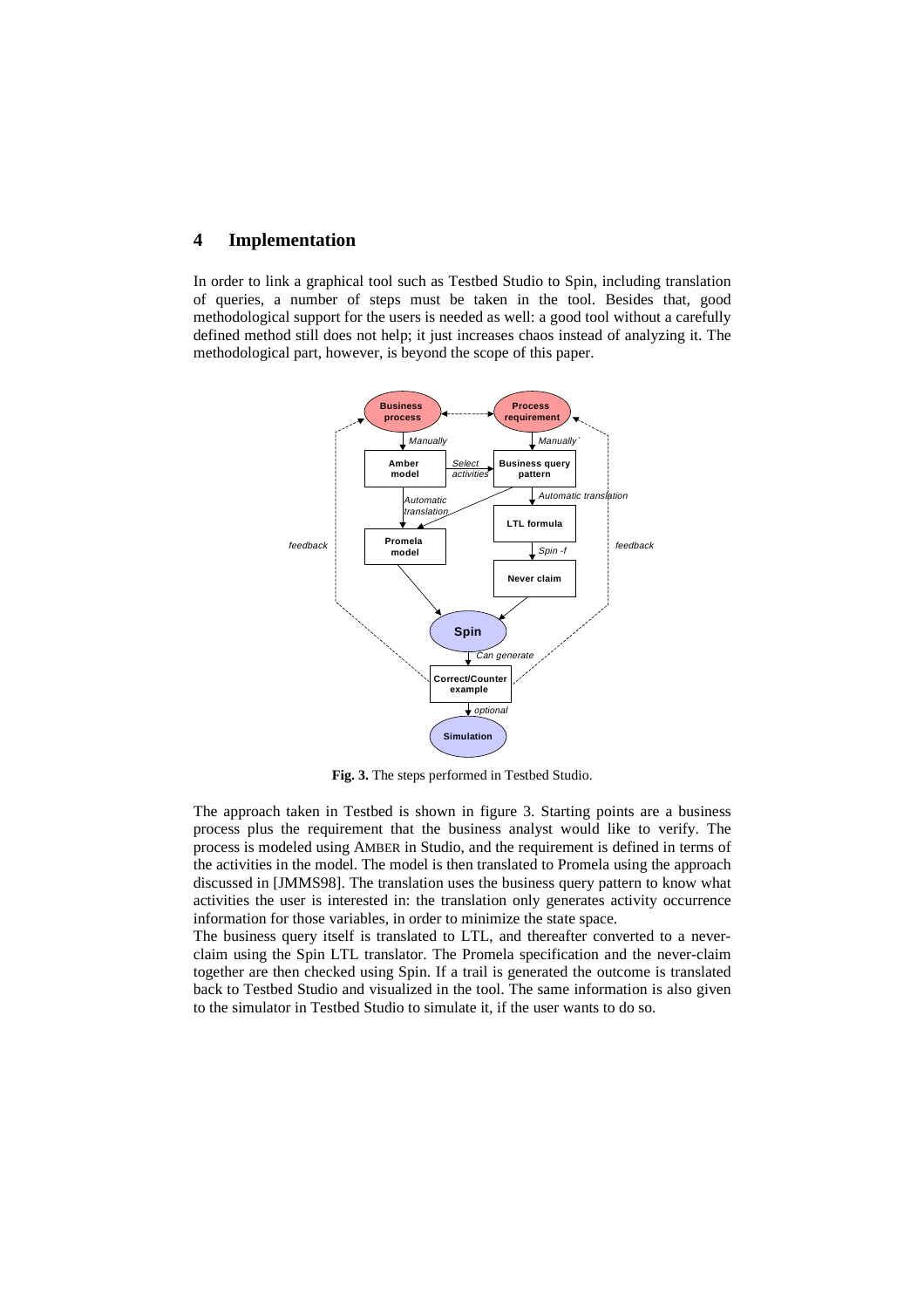## **4 Implementation**

In order to link a graphical tool such as Testbed Studio to Spin, including translation of queries, a number of steps must be taken in the tool. Besides that, good methodological support for the users is needed as well: a good tool without a carefully defined method still does not help; it just increases chaos instead of analyzing it. The methodological part, however, is beyond the scope of this paper.



**Fig. 3.** The steps performed in Testbed Studio.

The approach taken in Testbed is shown in figure 3. Starting points are a business process plus the requirement that the business analyst would like to verify. The process is modeled using AMBER in Studio, and the requirement is defined in terms of the activities in the model. The model is then translated to Promela using the approach discussed in [JMMS98]. The translation uses the business query pattern to know what activities the user is interested in: the translation only generates activity occurrence information for those variables, in order to minimize the state space.

The business query itself is translated to LTL, and thereafter converted to a neverclaim using the Spin LTL translator. The Promela specification and the never-claim together are then checked using Spin. If a trail is generated the outcome is translated back to Testbed Studio and visualized in the tool. The same information is also given to the simulator in Testbed Studio to simulate it, if the user wants to do so.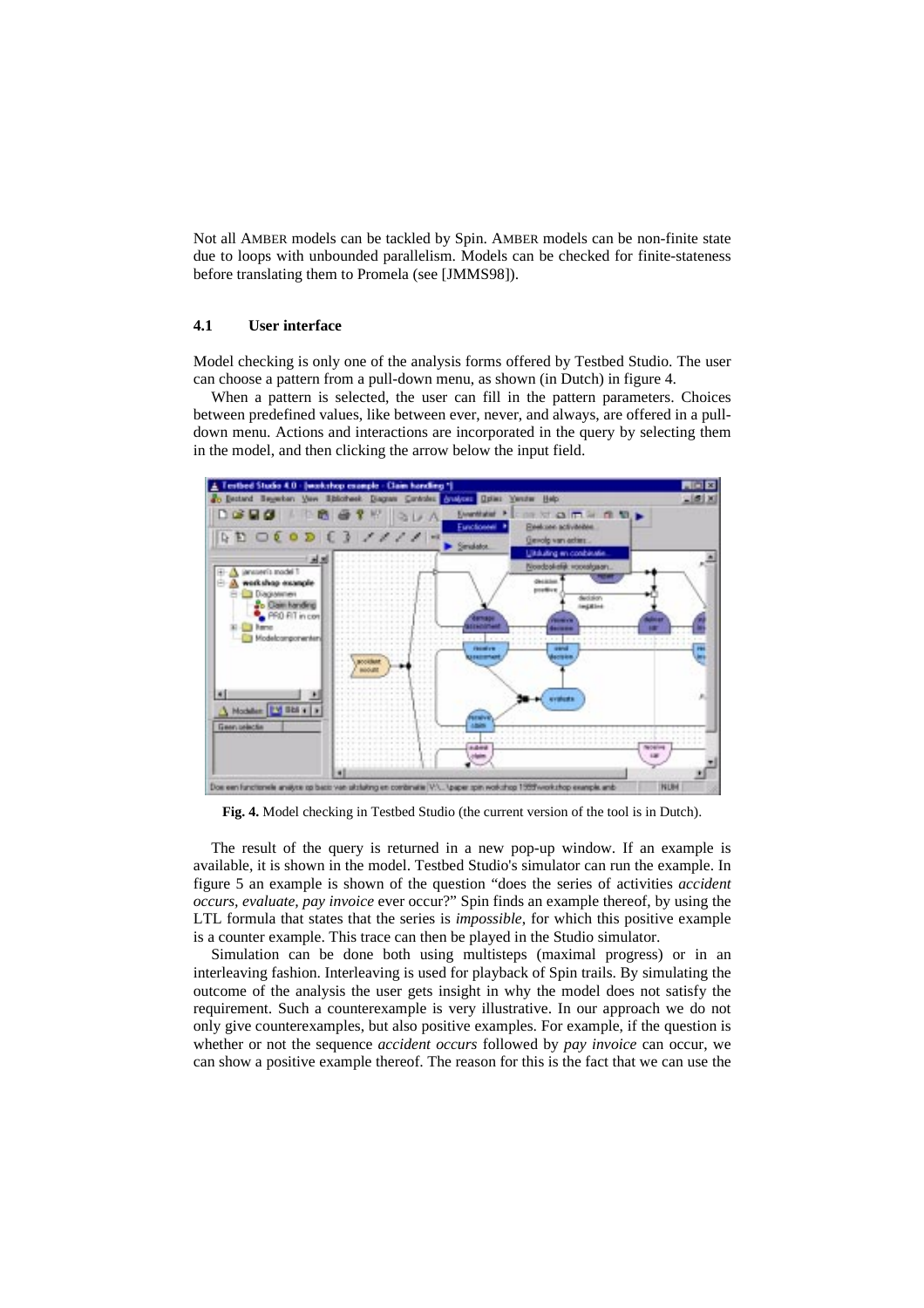Not all AMBER models can be tackled by Spin. AMBER models can be non-finite state due to loops with unbounded parallelism. Models can be checked for finite-stateness before translating them to Promela (see [JMMS98]).

#### **4.1 User interface**

Model checking is only one of the analysis forms offered by Testbed Studio. The user can choose a pattern from a pull-down menu, as shown (in Dutch) in figure 4.

When a pattern is selected, the user can fill in the pattern parameters. Choices between predefined values, like between ever, never, and always, are offered in a pulldown menu. Actions and interactions are incorporated in the query by selecting them in the model, and then clicking the arrow below the input field.



**Fig. 4.** Model checking in Testbed Studio (the current version of the tool is in Dutch).

The result of the query is returned in a new pop-up window. If an example is available, it is shown in the model. Testbed Studio's simulator can run the example. In figure 5 an example is shown of the question "does the series of activities *accident occurs, evaluate, pay invoice* ever occur?" Spin finds an example thereof, by using the LTL formula that states that the series is *impossible*, for which this positive example is a counter example. This trace can then be played in the Studio simulator.

Simulation can be done both using multisteps (maximal progress) or in an interleaving fashion. Interleaving is used for playback of Spin trails. By simulating the outcome of the analysis the user gets insight in why the model does not satisfy the requirement. Such a counterexample is very illustrative. In our approach we do not only give counterexamples, but also positive examples. For example, if the question is whether or not the sequence *accident occurs* followed by *pay invoice* can occur, we can show a positive example thereof. The reason for this is the fact that we can use the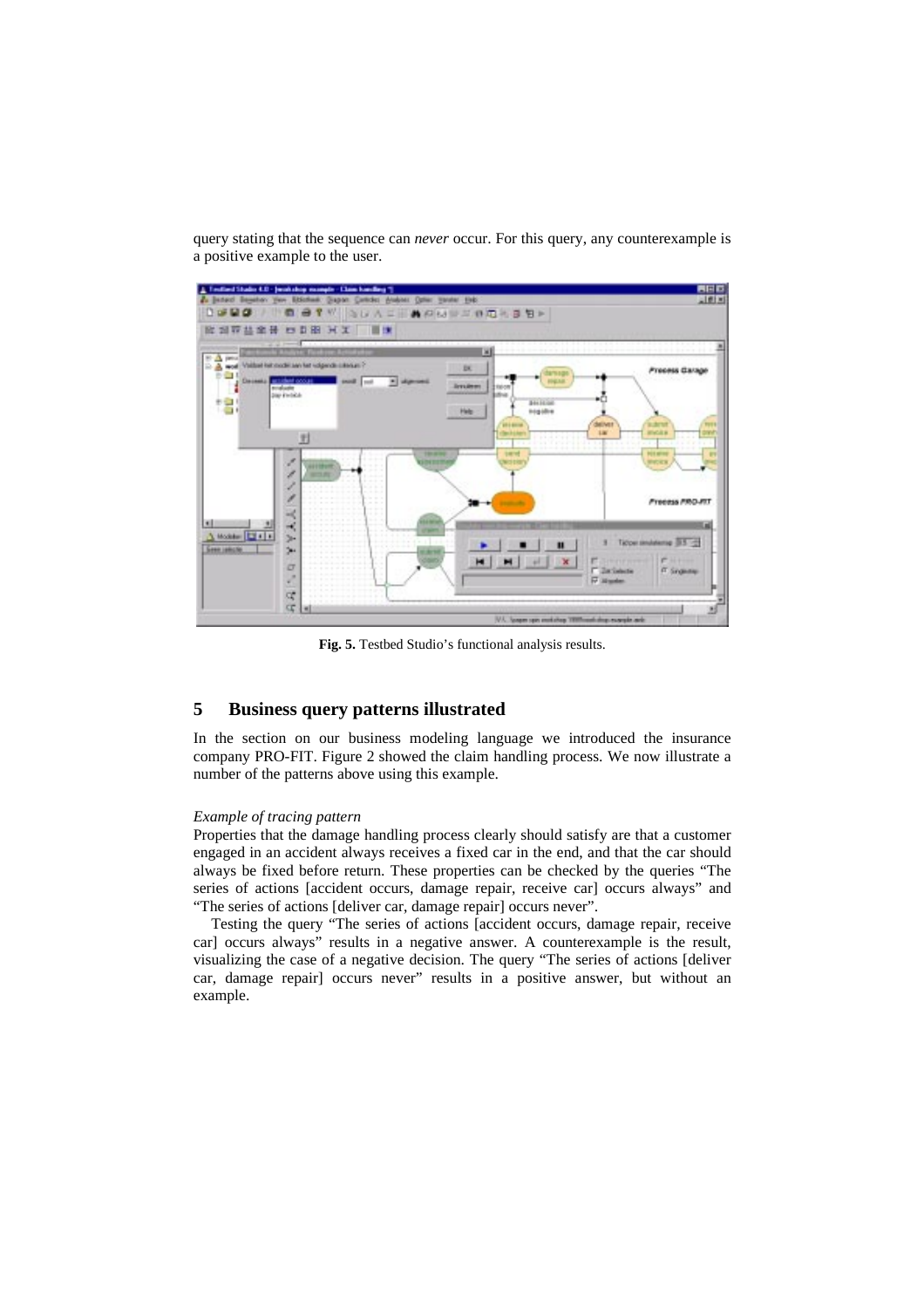query stating that the sequence can *never* occur. For this query, any counterexample is a positive example to the user.



**Fig. 5.** Testbed Studio's functional analysis results.

# **5 Business query patterns illustrated**

In the section on our business modeling language we introduced the insurance company PRO-FIT. Figure 2 showed the claim handling process. We now illustrate a number of the patterns above using this example.

#### *Example of tracing pattern*

Properties that the damage handling process clearly should satisfy are that a customer engaged in an accident always receives a fixed car in the end, and that the car should always be fixed before return. These properties can be checked by the queries "The series of actions [accident occurs, damage repair, receive car] occurs always" and "The series of actions [deliver car, damage repair] occurs never".

Testing the query "The series of actions [accident occurs, damage repair, receive car] occurs always" results in a negative answer. A counterexample is the result, visualizing the case of a negative decision. The query "The series of actions [deliver car, damage repair] occurs never" results in a positive answer, but without an example.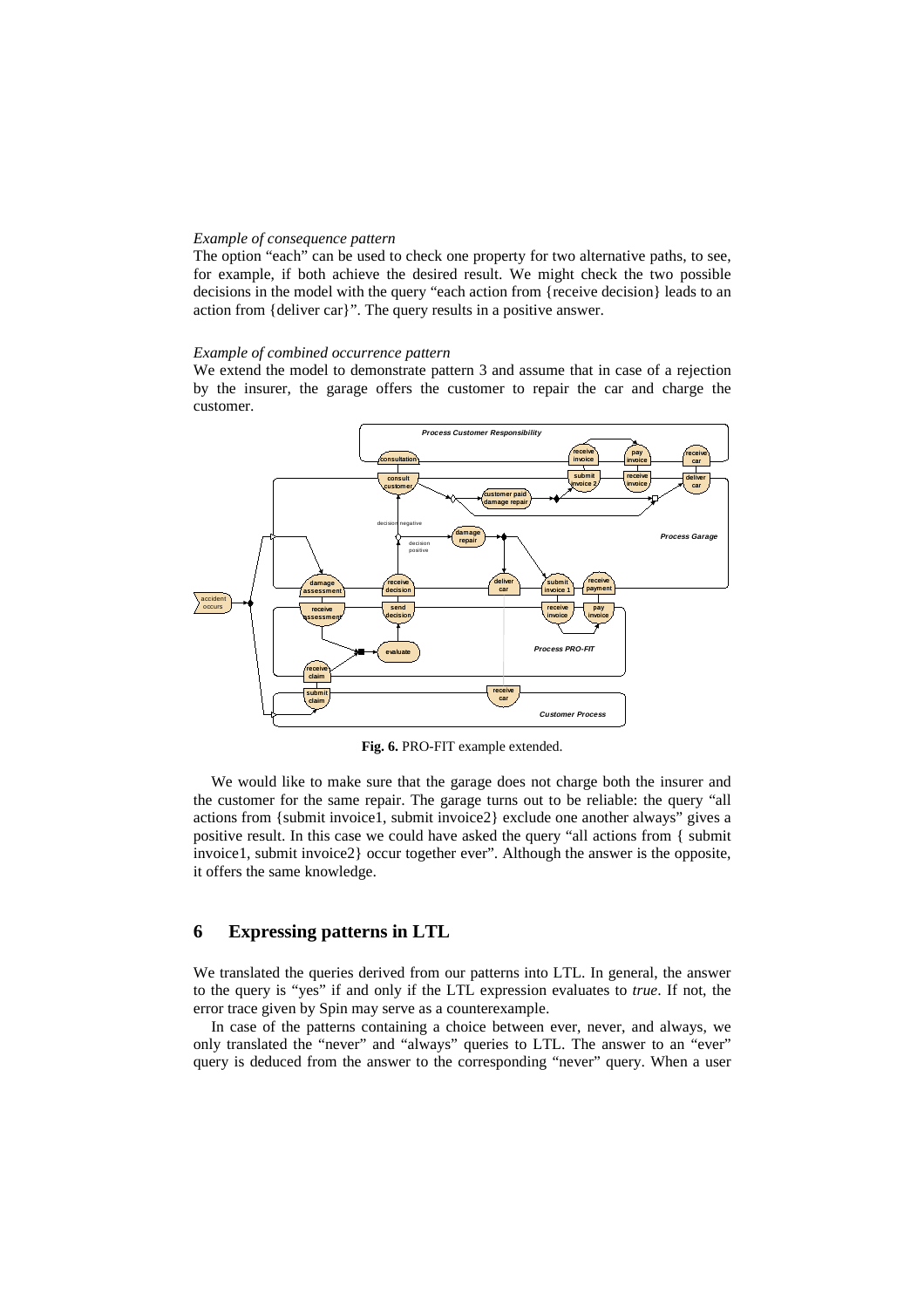#### *Example of consequence pattern*

The option "each" can be used to check one property for two alternative paths, to see, for example, if both achieve the desired result. We might check the two possible decisions in the model with the query "each action from {receive decision} leads to an action from {deliver car}". The query results in a positive answer.

#### *Example of combined occurrence pattern*

We extend the model to demonstrate pattern 3 and assume that in case of a rejection by the insurer, the garage offers the customer to repair the car and charge the customer.



**Fig. 6.** PRO-FIT example extended.

We would like to make sure that the garage does not charge both the insurer and the customer for the same repair. The garage turns out to be reliable: the query "all actions from {submit invoice1, submit invoice2} exclude one another always" gives a positive result. In this case we could have asked the query "all actions from { submit invoice1, submit invoice2} occur together ever". Although the answer is the opposite, it offers the same knowledge.

# **6 Expressing patterns in LTL**

We translated the queries derived from our patterns into LTL. In general, the answer to the query is "yes" if and only if the LTL expression evaluates to *true*. If not, the error trace given by Spin may serve as a counterexample.

In case of the patterns containing a choice between ever, never, and always, we only translated the "never" and "always" queries to LTL. The answer to an "ever" query is deduced from the answer to the corresponding "never" query. When a user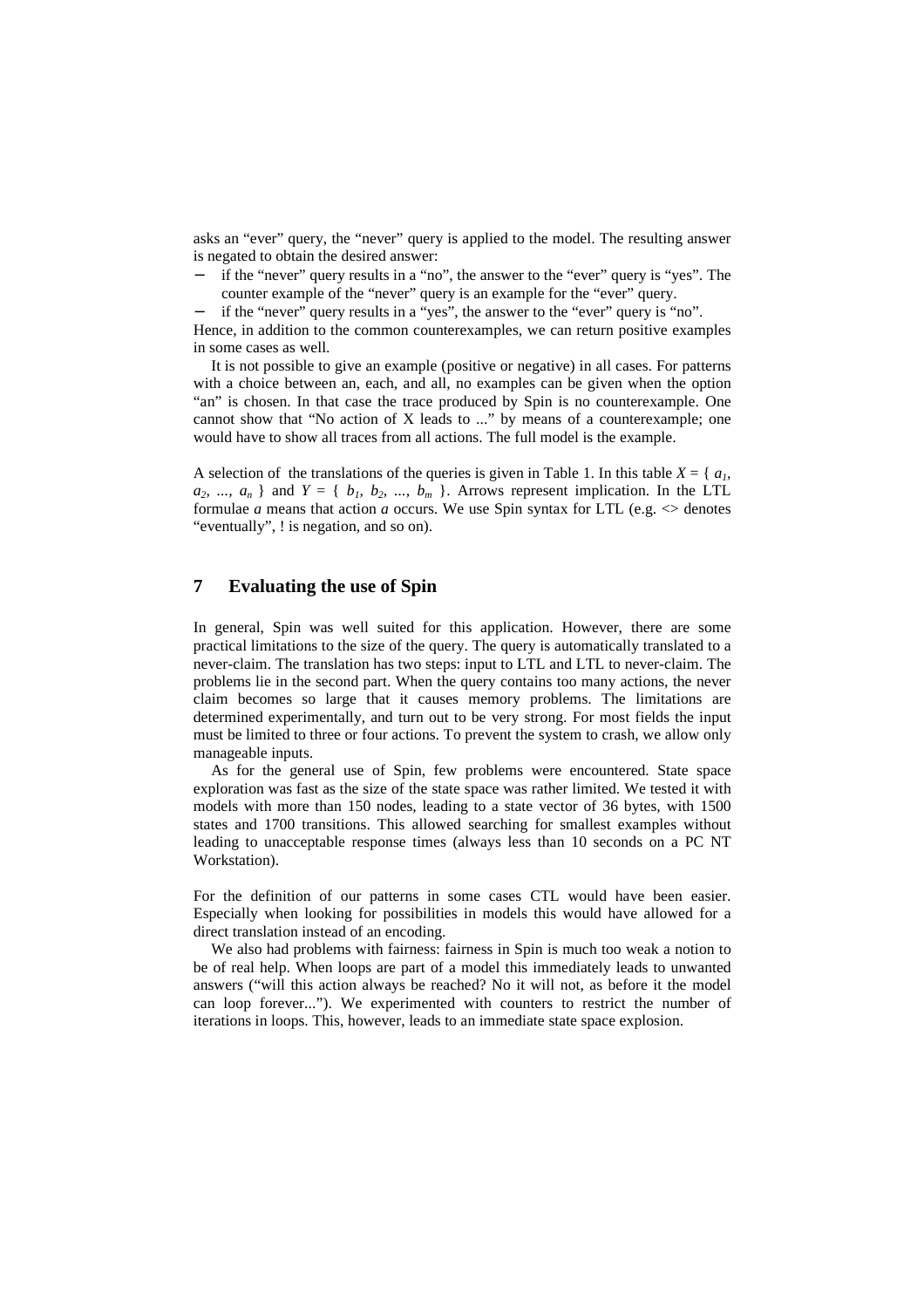asks an "ever" query, the "never" query is applied to the model. The resulting answer is negated to obtain the desired answer:

- if the "never" query results in a "no", the answer to the "ever" query is "yes". The counter example of the "never" query is an example for the "ever" query.
- if the "never" query results in a "yes", the answer to the "ever" query is "no".

Hence, in addition to the common counterexamples, we can return positive examples in some cases as well.

It is not possible to give an example (positive or negative) in all cases. For patterns with a choice between an, each, and all, no examples can be given when the option "an" is chosen. In that case the trace produced by Spin is no counterexample. One cannot show that "No action of X leads to ..." by means of a counterexample; one would have to show all traces from all actions. The full model is the example.

A selection of the translations of the queries is given in Table 1. In this table  $X = \{a_1, a_2, \ldots, a_n\}$  $a_2, ..., a_n$  and  $Y = \{b_1, b_2, ..., b_m\}$ . Arrows represent implication. In the LTL formulae *a* means that action *a* occurs. We use Spin syntax for LTL (e.g.  $\leq$  denotes "eventually", ! is negation, and so on).

# **7 Evaluating the use of Spin**

In general, Spin was well suited for this application. However, there are some practical limitations to the size of the query. The query is automatically translated to a never-claim. The translation has two steps: input to LTL and LTL to never-claim. The problems lie in the second part. When the query contains too many actions, the never claim becomes so large that it causes memory problems. The limitations are determined experimentally, and turn out to be very strong. For most fields the input must be limited to three or four actions. To prevent the system to crash, we allow only manageable inputs.

As for the general use of Spin, few problems were encountered. State space exploration was fast as the size of the state space was rather limited. We tested it with models with more than 150 nodes, leading to a state vector of 36 bytes, with 1500 states and 1700 transitions. This allowed searching for smallest examples without leading to unacceptable response times (always less than 10 seconds on a PC NT Workstation).

For the definition of our patterns in some cases CTL would have been easier. Especially when looking for possibilities in models this would have allowed for a direct translation instead of an encoding.

We also had problems with fairness: fairness in Spin is much too weak a notion to be of real help. When loops are part of a model this immediately leads to unwanted answers ("will this action always be reached? No it will not, as before it the model can loop forever..."). We experimented with counters to restrict the number of iterations in loops. This, however, leads to an immediate state space explosion.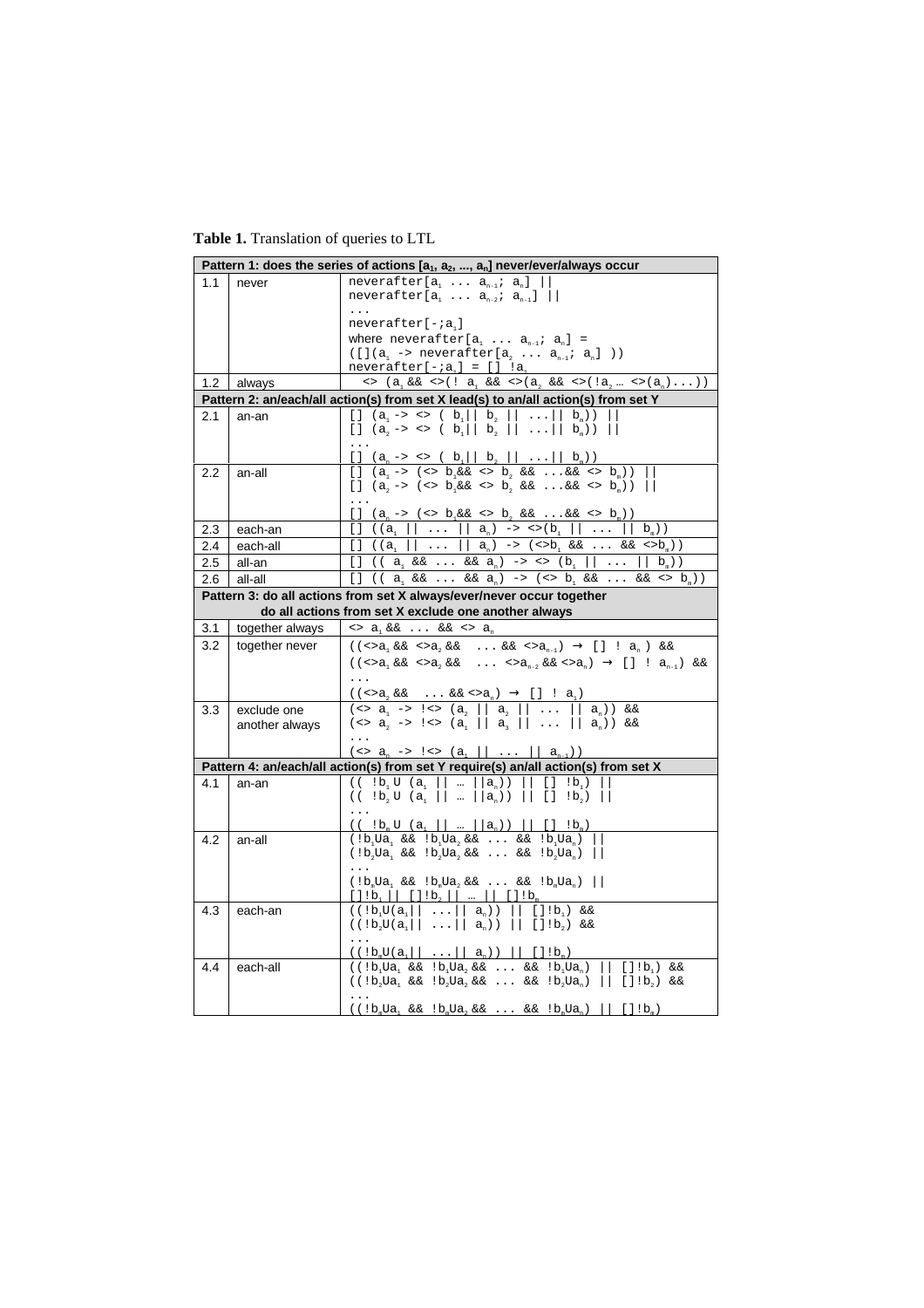**Table 1.** Translation of queries to LTL

|                  |                 | Pattern 1: does the series of actions $[a_1, a_2, , a_n]$ never/ever/always occur                                                                                                                                                                                                                                                                                                                                                                           |
|------------------|-----------------|-------------------------------------------------------------------------------------------------------------------------------------------------------------------------------------------------------------------------------------------------------------------------------------------------------------------------------------------------------------------------------------------------------------------------------------------------------------|
| 1.1              | never           | neverafter[ $a_1 \ldots a_{n-1}$ ; $a_n$ ]                                                                                                                                                                                                                                                                                                                                                                                                                  |
|                  |                 | $neverafter[a_1 \ldots a_{n-2}; a_{n-1}] \mid  $                                                                                                                                                                                                                                                                                                                                                                                                            |
|                  |                 |                                                                                                                                                                                                                                                                                                                                                                                                                                                             |
|                  |                 | $neverafter[-iai]$                                                                                                                                                                                                                                                                                                                                                                                                                                          |
|                  |                 | where neverafter $[a_1 \ldots a_{n-1}; a_n] =$                                                                                                                                                                                                                                                                                                                                                                                                              |
|                  |                 | $([ ] (a1 -> neverafter[a2  an-1; an ] ) )$                                                                                                                                                                                                                                                                                                                                                                                                                 |
|                  |                 | $neverafter[-ia] = [] !a,$                                                                                                                                                                                                                                                                                                                                                                                                                                  |
| 1.2              | always          | $\langle \rangle$ (a <sub>1</sub> & $\langle \rangle$ < > (! a <sub>1</sub> & $\langle \rangle$ < > (a <sub>2</sub> & $\langle \rangle$ + (la <sub>2</sub> $\langle \rangle$ ) = (a <sub>n</sub> ))<br>Pattern 2: an/each/all action(s) from set X lead(s) to an/all action(s) from set Y                                                                                                                                                                   |
| 2.1              | an-an           | $[ ] (a_1 \rightarrow \leftarrow \leftarrow ( b_1    b_2    \dots    b_m ) ) ]$                                                                                                                                                                                                                                                                                                                                                                             |
|                  |                 | $[ ] (a_2 \rightarrow \& ( b_1    b_2        b_m ) )   $                                                                                                                                                                                                                                                                                                                                                                                                    |
|                  |                 | $\begin{bmatrix} 1 & (a_n \rightarrow < > (b_n) \mid b_n \mid & \ldots \mid b_n \mid \end{bmatrix}$                                                                                                                                                                                                                                                                                                                                                         |
| $2.2\,$          | an-all          | $[ ] (a, -> (-> b, \& c <> b, \& c. & c <> b, ) )$<br>$[ ] (a_2 \rightarrow (-\infty b_1 \& \& \iff b_2 \& \& \dots \& \iff \iff b_m ) ) ]$                                                                                                                                                                                                                                                                                                                 |
|                  |                 | $\ddotsc$<br>$[$ ] $(a_n > (b, & c & b, & c &  & c & b ) )$                                                                                                                                                                                                                                                                                                                                                                                                 |
| 2.3              | each-an         | $[ ] ((a,        a_n) \rightarrow \sim (b,       $<br>$b_n$ ))                                                                                                                                                                                                                                                                                                                                                                                              |
| 2.4              | each-all        | $[ ] ((a,        a_n) \rightarrow ( > b, & &  & & & & & & & & & \cdots ) )$                                                                                                                                                                                                                                                                                                                                                                                 |
| $2.5\,$          | all-an          | $[ ] ((a_1 \&c \ldots \&c a_n) \rightarrow \langle > (b_1) ] ]$<br>$b)$ )<br>$\cdots$ $\pm$                                                                                                                                                                                                                                                                                                                                                                 |
| 2.6              | all-all         | $[ ] ((a_1 \& \& \ldots \& \& a_n) \rightarrow (\< b_1 \& \& \ldots \& \& \< b_n ) )$                                                                                                                                                                                                                                                                                                                                                                       |
|                  |                 | Pattern 3: do all actions from set X always/ever/never occur together                                                                                                                                                                                                                                                                                                                                                                                       |
|                  |                 | do all actions from set X exclude one another always                                                                                                                                                                                                                                                                                                                                                                                                        |
| 3.1              | together always | $\leftrightarrow$ a & $\&$ & $\&$ $\leftrightarrow$ a                                                                                                                                                                                                                                                                                                                                                                                                       |
| 3.2              | together never  |                                                                                                                                                                                                                                                                                                                                                                                                                                                             |
|                  |                 | $((\langle \times a, \&\& \& \times a, \&\& \dots \& \times a_{n-2} \&\& \& \& \times a_n) \rightarrow [] : a_{n-1}$ & &                                                                                                                                                                                                                                                                                                                                    |
|                  |                 | $((\langle >a, \&\& \dots \&& \langle >a, \rangle) \rightarrow [] \, : a, )$                                                                                                                                                                                                                                                                                                                                                                                |
| 3.3 <sub>1</sub> | exclude one     | $( \iff a_{_1} \;\; \rightarrow \;\; ! \iff \;\; (a_{_2} \;\; \big  \;\big  \;\; a_{_2} \;\; \big  \;\big  \;\; \dots \;\; \big  \;\big  \;\; a_{_n} ) \; ) \;\; \&\& \;$                                                                                                                                                                                                                                                                                   |
|                  | another always  | $(\langle > a_{2} \rangle > \langle > a_{1}   a_{3}   a_{4}   a_{5}   a_{6} \rangle)$ & &                                                                                                                                                                                                                                                                                                                                                                   |
|                  |                 | $(\langle > a_{n} \rightarrow \langle > a_{n}   \mid \ldots   a_{n-1} \rangle)$                                                                                                                                                                                                                                                                                                                                                                             |
|                  |                 | Pattern 4: an/each/all action(s) from set Y require(s) an/all action(s) from set X                                                                                                                                                                                                                                                                                                                                                                          |
| 4.1              | an-an           | (( !b, U (a, $    a_n  $ )    [] !b,                                                                                                                                                                                                                                                                                                                                                                                                                        |
|                  |                 |                                                                                                                                                                                                                                                                                                                                                                                                                                                             |
|                  |                 | $((\mathsf{b}, \mathsf{U}, \mathsf{c}, \mathsf{a}, \mathsf{a}, \mathsf{a}, \mathsf{a}, \mathsf{a}, \mathsf{b}, \mathsf{b}, \mathsf{b}, \mathsf{b}, \mathsf{b}, \mathsf{b}, \mathsf{b}, \mathsf{b}, \mathsf{b}, \mathsf{b}, \mathsf{b}, \mathsf{b}, \mathsf{b}, \mathsf{b}, \mathsf{b}, \mathsf{b}, \mathsf{b}, \mathsf{b}, \mathsf{b}, \mathsf{b}, \mathsf{b}, \mathsf{b}, \mathsf{b}, \mathsf{b}, \mathsf{b}, \mathsf{b}, \mathsf{b}, \mathsf{b}, \mathsf$ |
| 4.2              | an-all          | $( !b_1Ua_1 \&&  !b_1Ua_2 \&& \dots \&&  !b_1Ua_n )$                                                                                                                                                                                                                                                                                                                                                                                                        |
|                  |                 | $(1b_2Ua_1 \&& 1b_2Ua_2 \&& \dots \&& 1b_2Ua_n)$<br>$\ddots$                                                                                                                                                                                                                                                                                                                                                                                                |
|                  |                 | $(\;!\,b_{\scriptscriptstyle m}{\rm U} a_{\scriptscriptstyle 1} \;\;\&\&\;\;!\,b_{\scriptscriptstyle m}{\rm U} a_{\scriptscriptstyle 2}\;\&\&\;\; \ldots \;\;\&\&\;\;!\,b_{\scriptscriptstyle m}{\rm U} a_{\scriptscriptstyle n})\;\;\;\big \;\big \;$<br>$[ ]!b, ] [ ]!b, ] [ ]!b, ] ] \dots ] [ ]!b$                                                                                                                                                      |
| 4.3              | each-an         | $(( b_1U(a_1)  \ldots   a_n))$   [ ] !b <sub>1</sub> ) & &                                                                                                                                                                                                                                                                                                                                                                                                  |
|                  |                 | $((!b_2U(a_1 \mid \ldots \mid a_n)) \mid   [ ]!b_2)$ & &                                                                                                                                                                                                                                                                                                                                                                                                    |
|                  |                 | $((!b_{n}U(a_{1} \vert \vert \ldots \vert a_{n})) \vert \vert []!b_{n})$                                                                                                                                                                                                                                                                                                                                                                                    |
| 4.4              | each-all        | $((!b_1Ua_1 \&&   b_1Ua_2 \&&  \&&   b_1Ua_n)$   [ ] $ b_1 \rangle \&&$                                                                                                                                                                                                                                                                                                                                                                                     |
|                  |                 | $((1b, Ua, \&\& 1b, Ua, \&\& \dots \& 1b, Ua, )$   [] $(b, b, \&\& 1b, Ua, \& \dots \& 1b, Ua, )$                                                                                                                                                                                                                                                                                                                                                           |
|                  |                 | $($ (!b_Ua, && !b_Ua, &&  && !b_Ua_)    []!b_)                                                                                                                                                                                                                                                                                                                                                                                                              |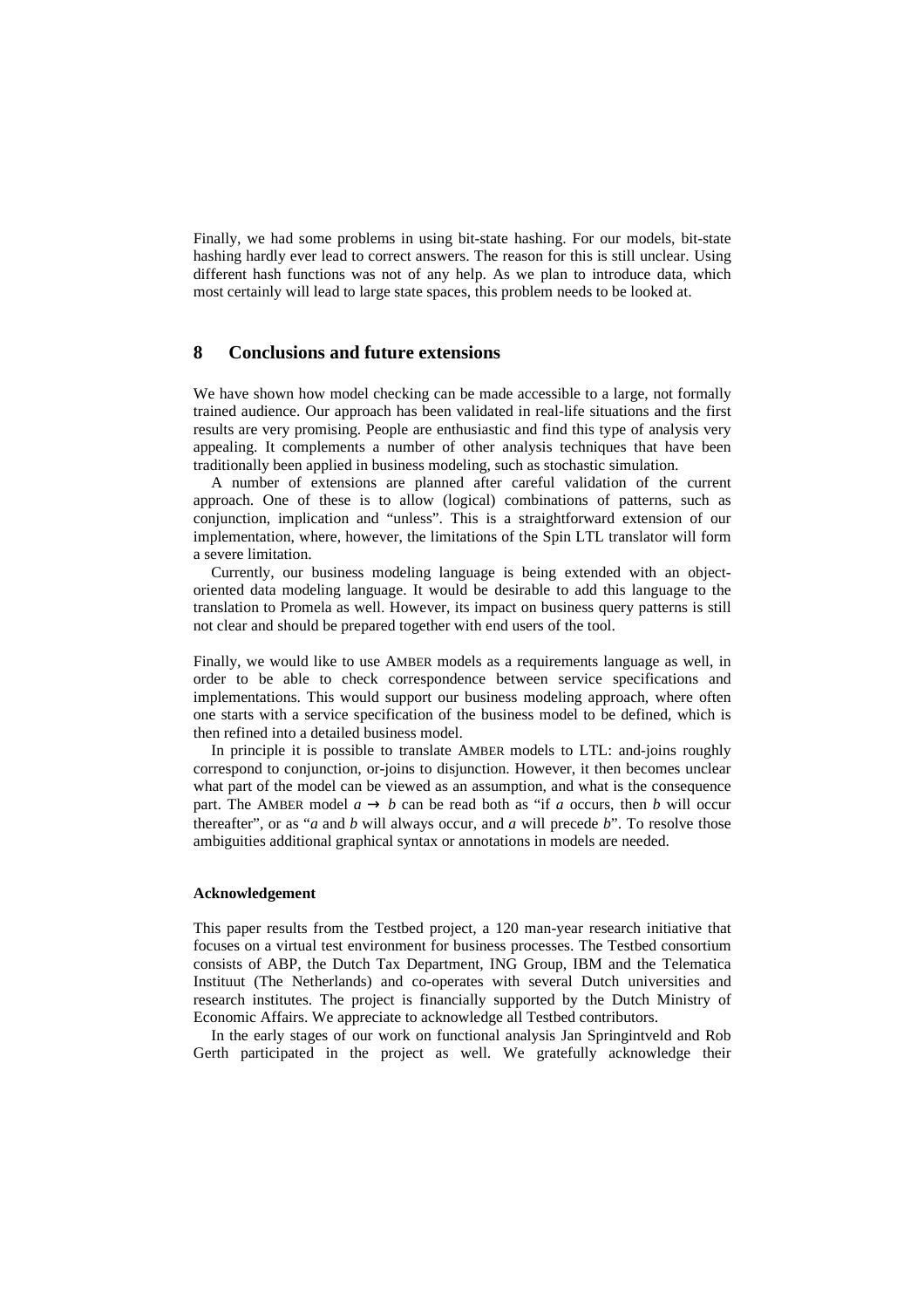Finally, we had some problems in using bit-state hashing. For our models, bit-state hashing hardly ever lead to correct answers. The reason for this is still unclear. Using different hash functions was not of any help. As we plan to introduce data, which most certainly will lead to large state spaces, this problem needs to be looked at.

# **8 Conclusions and future extensions**

We have shown how model checking can be made accessible to a large, not formally trained audience. Our approach has been validated in real-life situations and the first results are very promising. People are enthusiastic and find this type of analysis very appealing. It complements a number of other analysis techniques that have been traditionally been applied in business modeling, such as stochastic simulation.

A number of extensions are planned after careful validation of the current approach. One of these is to allow (logical) combinations of patterns, such as conjunction, implication and "unless". This is a straightforward extension of our implementation, where, however, the limitations of the Spin LTL translator will form a severe limitation.

Currently, our business modeling language is being extended with an objectoriented data modeling language. It would be desirable to add this language to the translation to Promela as well. However, its impact on business query patterns is still not clear and should be prepared together with end users of the tool.

Finally, we would like to use AMBER models as a requirements language as well, in order to be able to check correspondence between service specifications and implementations. This would support our business modeling approach, where often one starts with a service specification of the business model to be defined, which is then refined into a detailed business model.

In principle it is possible to translate AMBER models to LTL: and-joins roughly correspond to conjunction, or-joins to disjunction. However, it then becomes unclear what part of the model can be viewed as an assumption, and what is the consequence part. The AMBER model  $a \rightarrow b$  can be read both as "if *a* occurs, then *b* will occur thereafter", or as "*a* and *b* will always occur, and *a* will precede *b*". To resolve those ambiguities additional graphical syntax or annotations in models are needed.

#### **Acknowledgement**

This paper results from the Testbed project, a 120 man-year research initiative that focuses on a virtual test environment for business processes. The Testbed consortium consists of ABP, the Dutch Tax Department, ING Group, IBM and the Telematica Instituut (The Netherlands) and co-operates with several Dutch universities and research institutes. The project is financially supported by the Dutch Ministry of Economic Affairs. We appreciate to acknowledge all Testbed contributors.

In the early stages of our work on functional analysis Jan Springintveld and Rob Gerth participated in the project as well. We gratefully acknowledge their